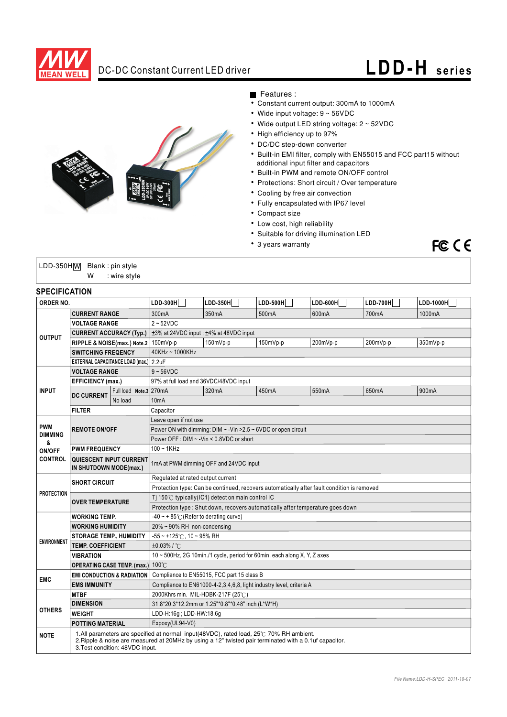

# DC-DC Constant Current LED driver **LDD- H series**

FCCE



### Features :

- Constant current output: 300mA to 1000mA
- Wide input voltage: 9 ~ 56VDC
- Wide output LED string voltage: 2 ~ 52VDC
- High efficiency up to 97%
- DC/DC step-down converter
- Built-in EMI filter, comply with EN55015 and FCC part15 without additional input filter and capacitors
- Built-in PWM and remote ON/OFF control
- Protections: Short circuit / Over temperature
- Cooling by free air convection
- Fully encapsulated with IP67 level
- Compact size
- Low cost, high reliability
- Suitable for driving illumination LED
- 3 years warranty

| $LDD-350H\overline{W}$ Blank: pin style |   |              |
|-----------------------------------------|---|--------------|
|                                         | w | : wire style |

## **SPECIFICATION**

| יוטו בטוו וטחיוט<br>ORDER NO.                                                             |                                                   | $LDD-300H$                                                                                                                                                                                                                           | $LDD-350H$                                                               | $LDD-500H$ | $LDD-600H$ | $LDD-700H$ | LDD-1000H |       |  |
|-------------------------------------------------------------------------------------------|---------------------------------------------------|--------------------------------------------------------------------------------------------------------------------------------------------------------------------------------------------------------------------------------------|--------------------------------------------------------------------------|------------|------------|------------|-----------|-------|--|
|                                                                                           |                                                   |                                                                                                                                                                                                                                      |                                                                          |            |            |            |           |       |  |
| <b>CURRENT RANGE</b>                                                                      |                                                   | 300mA                                                                                                                                                                                                                                | 350mA                                                                    | 500mA      | 600mA      | 700mA      | 1000mA    |       |  |
|                                                                                           | <b>VOLTAGE RANGE</b>                              |                                                                                                                                                                                                                                      | $2 - 52VDC$                                                              |            |            |            |           |       |  |
| <b>CURRENT ACCURACY (Typ.)</b><br><b>OUTPUT</b><br>RIPPLE & NOISE(max.) Note.2   150mVp-p |                                                   | ±3% at 24VDC input; ±4% at 48VDC input                                                                                                                                                                                               |                                                                          |            |            |            |           |       |  |
|                                                                                           |                                                   |                                                                                                                                                                                                                                      | 150mVp-p                                                                 | 150mVp-p   | 200mVp-p   | 200mVp-p   | 350mVp-p  |       |  |
| <b>SWITCHING FREQENCY</b><br>EXTERNAL CAPACITANCE LOAD (max.) 2.2uF                       |                                                   | 40KHz ~ 1000KHz                                                                                                                                                                                                                      |                                                                          |            |            |            |           |       |  |
|                                                                                           |                                                   |                                                                                                                                                                                                                                      |                                                                          |            |            |            |           |       |  |
| <b>VOLTAGE RANGE</b>                                                                      |                                                   | $9 - 56$ VDC                                                                                                                                                                                                                         |                                                                          |            |            |            |           |       |  |
|                                                                                           | <b>EFFICIENCY (max.)</b>                          |                                                                                                                                                                                                                                      | 97% at full load and 36VDC/48VDC input                                   |            |            |            |           |       |  |
| <b>INPUT</b>                                                                              | <b>DC CURRENT</b>                                 | Full load Note.3 270mA                                                                                                                                                                                                               |                                                                          | 320mA      | 450mA      | 550mA      | 650mA     | 900mA |  |
|                                                                                           |                                                   | No load                                                                                                                                                                                                                              | 10 <sub>m</sub> A                                                        |            |            |            |           |       |  |
|                                                                                           | <b>FILTER</b>                                     |                                                                                                                                                                                                                                      | Capacitor                                                                |            |            |            |           |       |  |
| <b>PWM</b>                                                                                |                                                   | Leave open if not use                                                                                                                                                                                                                |                                                                          |            |            |            |           |       |  |
| <b>DIMMING</b>                                                                            | <b>REMOTE ON/OFF</b>                              |                                                                                                                                                                                                                                      | Power ON with dimming: DIM ~ - Vin > 2.5 ~ 6VDC or open circuit          |            |            |            |           |       |  |
| &                                                                                         |                                                   |                                                                                                                                                                                                                                      | Power OFF : DIM ~ - Vin < 0.8VDC or short                                |            |            |            |           |       |  |
| ON/OFF                                                                                    | <b>PWM FREQUENCY</b>                              |                                                                                                                                                                                                                                      | $100 - 1$ KHz                                                            |            |            |            |           |       |  |
| <b>CONTROL</b>                                                                            | QUIESCENT INPUT CURRENT<br>IN SHUTDOWN MODE(max.) |                                                                                                                                                                                                                                      | 1mA at PWM dimming OFF and 24VDC input                                   |            |            |            |           |       |  |
| <b>SHORT CIRCUIT</b><br><b>PROTECTION</b><br><b>OVER TEMPERATURE</b>                      |                                                   | Regulated at rated output current                                                                                                                                                                                                    |                                                                          |            |            |            |           |       |  |
|                                                                                           |                                                   | Protection type: Can be continued, recovers automatically after fault condition is removed                                                                                                                                           |                                                                          |            |            |            |           |       |  |
|                                                                                           |                                                   | Ti 150 $\degree$ C typically(IC1) detect on main control IC                                                                                                                                                                          |                                                                          |            |            |            |           |       |  |
|                                                                                           |                                                   | Protection type : Shut down, recovers automatically after temperature goes down                                                                                                                                                      |                                                                          |            |            |            |           |       |  |
|                                                                                           | <b>WORKING TEMP.</b>                              |                                                                                                                                                                                                                                      | $-40 \sim +85^{\circ}$ (Refer to derating curve)                         |            |            |            |           |       |  |
| <b>WORKING HUMIDITY</b>                                                                   |                                                   | $20\% \sim 90\%$ RH non-condensing                                                                                                                                                                                                   |                                                                          |            |            |            |           |       |  |
| <b>STORAGE TEMP., HUMIDITY</b>                                                            |                                                   | $-55$ ~ +125°C, 10 ~ 95% RH                                                                                                                                                                                                          |                                                                          |            |            |            |           |       |  |
| <b>ENVIRONMENT</b><br><b>TEMP. COEFFICIENT</b>                                            |                                                   | ±0.03%/°C                                                                                                                                                                                                                            |                                                                          |            |            |            |           |       |  |
|                                                                                           | <b>VIBRATION</b>                                  |                                                                                                                                                                                                                                      | 10 ~ 500Hz, 2G 10min./1 cycle, period for 60min. each along X, Y, Z axes |            |            |            |           |       |  |
|                                                                                           | <b>OPERATING CASE TEMP. (max.)</b>                |                                                                                                                                                                                                                                      | $100^{\circ}$ C                                                          |            |            |            |           |       |  |
| <b>EMC</b>                                                                                |                                                   | Compliance to EN55015, FCC part 15 class B<br><b>EMI CONDUCTION &amp; RADIATION</b>                                                                                                                                                  |                                                                          |            |            |            |           |       |  |
|                                                                                           | <b>EMS IMMUNITY</b>                               |                                                                                                                                                                                                                                      | Compliance to EN61000-4-2,3,4,6,8, light industry level, criteria A      |            |            |            |           |       |  |
|                                                                                           | <b>MTBF</b>                                       |                                                                                                                                                                                                                                      | 2000Khrs min. MIL-HDBK-217F (25°C)                                       |            |            |            |           |       |  |
|                                                                                           | <b>DIMENSION</b>                                  |                                                                                                                                                                                                                                      | 31.8*20.3*12.2mm or 1.25"*0.8"*0.48" inch (L*W*H)                        |            |            |            |           |       |  |
| <b>OTHERS</b>                                                                             | <b>WEIGHT</b>                                     |                                                                                                                                                                                                                                      | LDD-H:16g; LDD-HW:18.6g                                                  |            |            |            |           |       |  |
|                                                                                           | <b>POTTING MATERIAL</b>                           |                                                                                                                                                                                                                                      | Expoxy(UL94-V0)                                                          |            |            |            |           |       |  |
| <b>NOTE</b>                                                                               |                                                   | 1.All parameters are specified at normal input(48VDC), rated load, 25°C 70% RH ambient.<br>2. Ripple & noise are measured at 20MHz by using a 12" twisted pair terminated with a 0.1uf capacitor.<br>3. Test condition: 48VDC input. |                                                                          |            |            |            |           |       |  |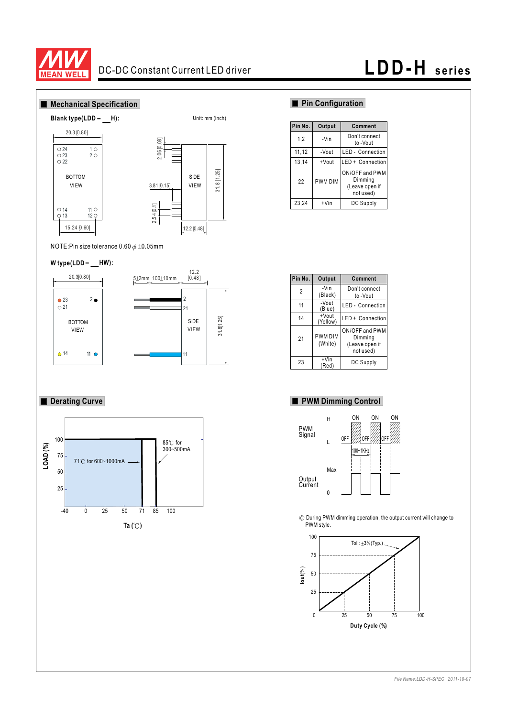

# DC-DC Constant Current LED driver **LDD- H series**



NOTE:Pin size tolerance  $0.60 \phi \pm 0.05$ mm

# tole<br>
—<br>
-**W type(LDD HW):**



# **Derating Curve**



## **Pin Configuration**

| Pin No. | Output  | Comment                                                  |
|---------|---------|----------------------------------------------------------|
| 1,2     | -Vin    | Don't connect<br>to -Vout                                |
| 11,12   | -Vout   | <b>LED</b> - Connection                                  |
| 13,14   | +Vout   | LED + Connection                                         |
| 22      | PWM DIM | ON/OFF and PWM<br>Dimming<br>(Leave open if<br>not used) |
| 23,24   | $+V$ in | DC Supply                                                |

| Pin No.        | Output                    | Comment                                                  |
|----------------|---------------------------|----------------------------------------------------------|
| $\overline{2}$ | -Vin<br>(Black)           | Don't connect<br>to-Vout                                 |
| 11             | -Vout<br>(Blue)           | <b>LED</b> - Connection                                  |
| 14             | +Vout<br>(Yellow)         | LED + Connection                                         |
| 21             | <b>PWM DIM</b><br>(White) | ON/OFF and PWM<br>Dimming<br>(Leave open if<br>not used) |
| 23             | $+V$ in<br>(Red           | DC Supply                                                |

### **PWM Dimming Control**



During PWM dimming operation, the output current will change to PWM style.